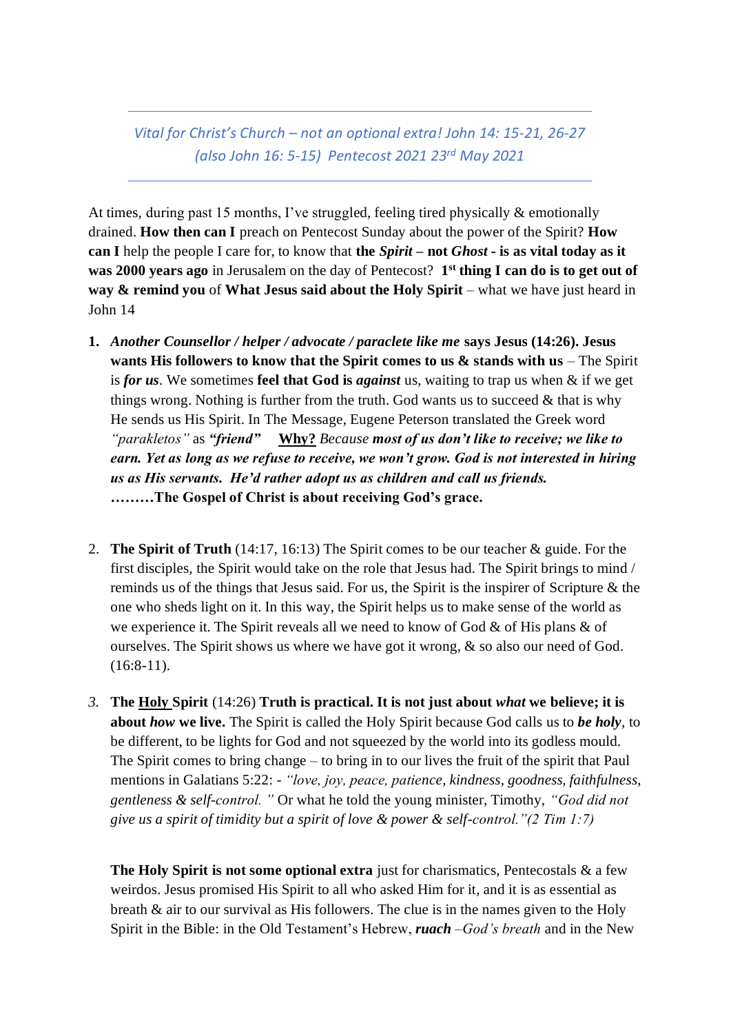*Vital for Christ's Church – not an optional extra! John 14: 15-21, 26-27 (also John 16: 5-15) Pentecost 2021 23rd May 2021*

At times, during past 15 months, I've struggled, feeling tired physically & emotionally drained. **How then can I** preach on Pentecost Sunday about the power of the Spirit? **How can I** help the people I care for, to know that **the** *Spirit* **– not** *Ghost* **- is as vital today as it was 2000 years ago** in Jerusalem on the day of Pentecost? **1 st thing I can do is to get out of way & remind you** of **What Jesus said about the Holy Spirit** – what we have just heard in John 14

- **1.** *Another Counsellor / helper / advocate / paraclete like me* **says Jesus (14:26). Jesus wants His followers to know that the Spirit comes to us & stands with us** – The Spirit is *for us*. We sometimes **feel that God is** *against* us, waiting to trap us when & if we get things wrong. Nothing is further from the truth. God wants us to succeed  $\&$  that is why He sends us His Spirit. In The Message, Eugene Peterson translated the Greek word *"parakletos"* as *"friend"* **Why?** *Because most of us don't like to receive; we like to earn. Yet as long as we refuse to receive, we won't grow. God is not interested in hiring us as His servants. He'd rather adopt us as children and call us friends.* **………The Gospel of Christ is about receiving God's grace.**
- 2. **The Spirit of Truth** (14:17, 16:13) The Spirit comes to be our teacher & guide. For the first disciples, the Spirit would take on the role that Jesus had. The Spirit brings to mind / reminds us of the things that Jesus said. For us, the Spirit is the inspirer of Scripture & the one who sheds light on it. In this way, the Spirit helps us to make sense of the world as we experience it. The Spirit reveals all we need to know of God  $\&$  of His plans  $\&$  of ourselves. The Spirit shows us where we have got it wrong, & so also our need of God.  $(16:8-11).$
- *3.* **The Holy Spirit** (14:26) **Truth is practical. It is not just about** *what* **we believe; it is about** *how* **we live.** The Spirit is called the Holy Spirit because God calls us to *be holy*, to be different, to be lights for God and not squeezed by the world into its godless mould. The Spirit comes to bring change – to bring in to our lives the fruit of the spirit that Paul mentions in Galatians 5:22: - *"love, joy, peace, patience, kindness, goodness, faithfulness, gentleness & self-control. "* Or what he told the young minister, Timothy, *"God did not give us a spirit of timidity but a spirit of love & power & self-control."(2 Tim 1:7)*

**The Holy Spirit is not some optional extra** just for charismatics, Pentecostals & a few weirdos. Jesus promised His Spirit to all who asked Him for it, and it is as essential as breath & air to our survival as His followers. The clue is in the names given to the Holy Spirit in the Bible: in the Old Testament's Hebrew, *ruach –God's breath* and in the New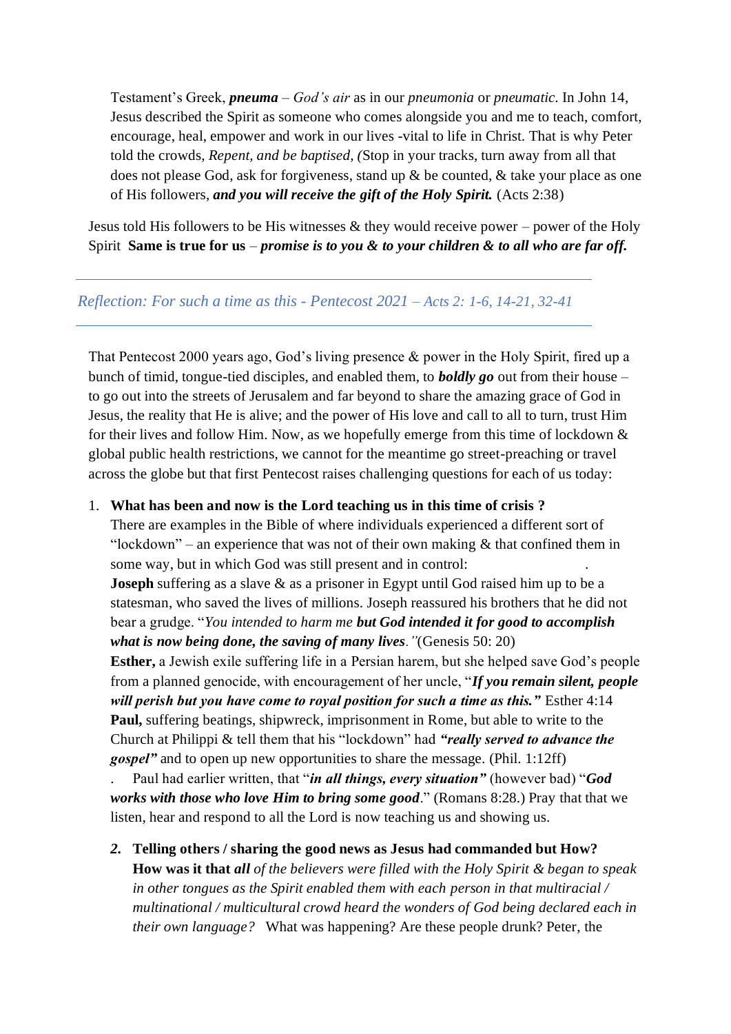Testament's Greek, *pneuma – God's air* as in our *pneumonia* or *pneumatic.* In John 14, Jesus described the Spirit as someone who comes alongside you and me to teach, comfort, encourage, heal, empower and work in our lives -vital to life in Christ. That is why Peter told the crowds, *Repent, and be baptised, (*Stop in your tracks, turn away from all that does not please God, ask for forgiveness, stand up & be counted, & take your place as one of His followers, *and you will receive the gift of the Holy Spirit.* (Acts 2:38)

Jesus told His followers to be His witnesses  $\&$  they would receive power – power of the Holy Spirit **Same is true for us** *– promise is to you & to your children & to all who are far off.*

## *Reflection: For such a time as this - Pentecost 2021 – Acts 2: 1-6, 14-21, 32-41*

That Pentecost 2000 years ago, God's living presence & power in the Holy Spirit, fired up a bunch of timid, tongue-tied disciples, and enabled them, to *boldly go* out from their house – to go out into the streets of Jerusalem and far beyond to share the amazing grace of God in Jesus, the reality that He is alive; and the power of His love and call to all to turn, trust Him for their lives and follow Him. Now, as we hopefully emerge from this time of lockdown & global public health restrictions, we cannot for the meantime go street-preaching or travel across the globe but that first Pentecost raises challenging questions for each of us today:

## 1. **What has been and now is the Lord teaching us in this time of crisis ?**

There are examples in the Bible of where individuals experienced a different sort of "lockdown" – an experience that was not of their own making  $\&$  that confined them in some way, but in which God was still present and in control:

**Joseph** suffering as a slave & as a prisoner in Egypt until God raised him up to be a statesman, who saved the lives of millions. Joseph reassured his brothers that he did not bear a grudge. "*You intended to harm me but God intended it for good to accomplish what is now being done, the saving of many lives."*(Genesis 50: 20)

**Esther,** a Jewish exile suffering life in a Persian harem, but she helped save God's people from a planned genocide, with encouragement of her uncle, "*If you remain silent, people will perish but you have come to royal position for such a time as this.*" Esther 4:14 **Paul,** suffering beatings, shipwreck, imprisonment in Rome, but able to write to the Church at Philippi & tell them that his "lockdown" had *"really served to advance the gospel"* and to open up new opportunities to share the message. (Phil. 1:12ff)

. Paul had earlier written, that "*in all things, every situation"* (however bad) "*God works with those who love Him to bring some good*." (Romans 8:28.) Pray that that we listen, hear and respond to all the Lord is now teaching us and showing us.

*2.* **Telling others / sharing the good news as Jesus had commanded but How? How was it that** *all of the believers were filled with the Holy Spirit & began to speak in other tongues as the Spirit enabled them with each person in that multiracial / multinational / multicultural crowd heard the wonders of God being declared each in their own language?* What was happening? Are these people drunk? Peter, the